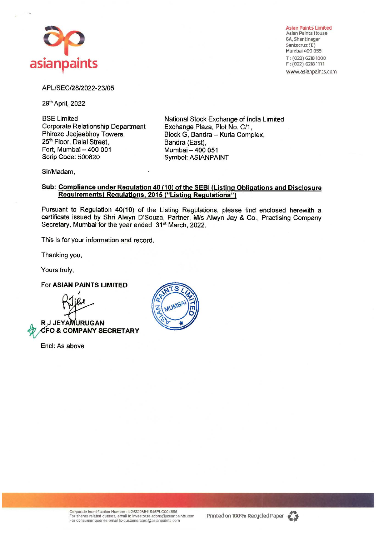

Asian Paints Limited Asian Paints House 6A, Shantinagar Santacruz (E) Mumbai 400 055 T; (022) 62181000 F: (022) 62181111 www.asianpaints.com

### APL/SEC/28/2022·23/05

29th April, 2022

BSE Limited Corporate Relationship Department Phiroze Jeejeebhoy Towers, 25<sup>th</sup> Floor, Dalal Street, Fort, Mumbai - 400 001 Scrip Code: 500820

National Stock Exchange of India Limited Exchange Plaza, Plot No. C/1, Block G, Sandra- Kurla Complex, Bandra (East), Mumbai - 400 051 Symbol: **ASIANPAINT** 

Sir/Madam,

### **Sub: Compliance under Regulation 40 (10) of the SEBI (Listing Obligations and Disclosure Requirements) Regulations, 2015 ("Listing Regulations")**

Pursuant to Regulation 40(10) of the Listing Regulations, please find enclosed herewith a certificate issued by Shri Alwyn D'Souza, Partner, M/s Alwyn Jay & Co., Practising Company Secretary, Mumbai for the year ended 31<sup>st</sup> March, 2022.

This is for your information and record.

Thanking you,

Yours truly,

### For **ASIAN PAINTS LIMITED**



Encl: As above



Corporate Identification Nurnber: L24220MH1945PLC004598 For shares related queries, email to investor.relations@asianpaints.com<br>For consumer queries,email to customercare@asianpaints.com

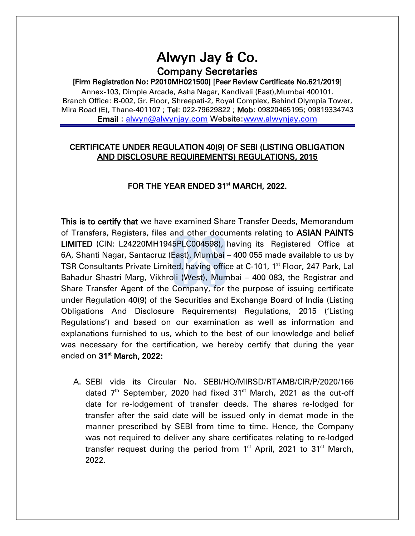# Alwyn Jay & Co. Company Secretaries

## [Firm Registration No: P2010MH021500] [Peer Review Certificate No.621/2019]

Annex-103, Dimple Arcade, Asha Nagar, Kandivali (East),Mumbai 400101. Branch Office: B-002, Gr. Floor, Shreepati-2, Royal Complex, Behind Olympia Tower, Mira Road (E), Thane-401107 ; Tel: 022-79629822 ; Mob: 09820465195; 09819334743 Email : [alwyn@alwynjay.com](mailto:alwyn@alwynjay.com) Website[:www.alwynjay.com](http://www.alwynjay.com/)

# CERTIFICATE UNDER REGULATION 40(9) OF SEBI (LISTING OBLIGATION AND DISCLOSURE REQUIREMENTS) REGULATIONS, 2015

# FOR THE YEAR ENDED 31<sup>st</sup> MARCH, 2022.

This is to certify that we have examined Share Transfer Deeds, Memorandum of Transfers, Registers, files and other documents relating to ASIAN PAINTS LIMITED (CIN: L24220MH1945PLC004598), having its Registered Office at 6A, Shanti Nagar, Santacruz (East), Mumbai – 400 055 made available to us by TSR Consultants Private Limited, having office at C-101, 1<sup>st</sup> Floor, 247 Park, Lal Bahadur Shastri Marg, Vikhroli (West), Mumbai – 400 083, the Registrar and Share Transfer Agent of the Company, for the purpose of issuing certificate under Regulation 40(9) of the Securities and Exchange Board of India (Listing Obligations And Disclosure Requirements) Regulations, 2015 ('Listing Regulations') and based on our examination as well as information and explanations furnished to us, which to the best of our knowledge and belief was necessary for the certification, we hereby certify that during the year ended on 31<sup>st</sup> March, 2022:

A. SEBI vide its Circular No. SEBI/HO/MIRSD/RTAMB/CIR/P/2020/166 dated  $7<sup>th</sup>$  September, 2020 had fixed 31 $<sup>st</sup>$  March, 2021 as the cut-off</sup> date for re-lodgement of transfer deeds. The shares re-lodged for transfer after the said date will be issued only in demat mode in the manner prescribed by SEBI from time to time. Hence, the Company was not required to deliver any share certificates relating to re-lodged transfer request during the period from 1 $^{\rm st}$  April, 2021 to 31 $^{\rm st}$  March, 2022.